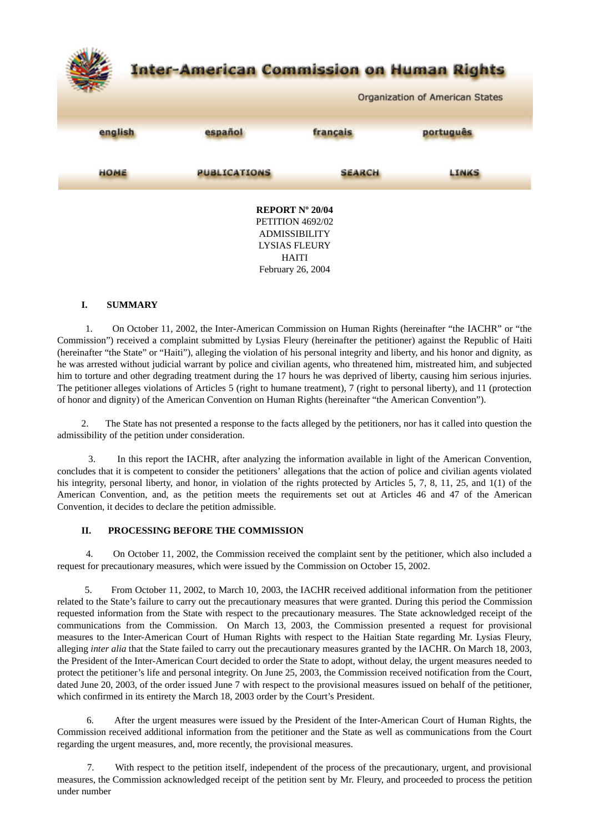

#### **I. SUMMARY**

1. On October 11, 2002, the Inter-American Commission on Human Rights (hereinafter "the IACHR" or "the Commission") received a complaint submitted by Lysias Fleury (hereinafter the petitioner) against the Republic of Haiti (hereinafter "the State" or "Haiti"), alleging the violation of his personal integrity and liberty, and his honor and dignity, as he was arrested without judicial warrant by police and civilian agents, who threatened him, mistreated him, and subjected him to torture and other degrading treatment during the 17 hours he was deprived of liberty, causing him serious injuries. The petitioner alleges violations of Articles 5 (right to humane treatment), 7 (right to personal liberty), and 11 (protection of honor and dignity) of the American Convention on Human Rights (hereinafter "the American Convention").

 2. The State has not presented a response to the facts alleged by the petitioners, nor has it called into question the admissibility of the petition under consideration.

3. In this report the IACHR, after analyzing the information available in light of the American Convention, concludes that it is competent to consider the petitioners' allegations that the action of police and civilian agents violated his integrity, personal liberty, and honor, in violation of the rights protected by Articles 5, 7, 8, 11, 25, and 1(1) of the American Convention, and, as the petition meets the requirements set out at Articles 46 and 47 of the American Convention, it decides to declare the petition admissible.

### **II. PROCESSING BEFORE THE COMMISSION**

4. On October 11, 2002, the Commission received the complaint sent by the petitioner, which also included a request for precautionary measures, which were issued by the Commission on October 15, 2002.

5. From October 11, 2002, to March 10, 2003, the IACHR received additional information from the petitioner related to the State's failure to carry out the precautionary measures that were granted. During this period the Commission requested information from the State with respect to the precautionary measures. The State acknowledged receipt of the communications from the Commission. On March 13, 2003, the Commission presented a request for provisional measures to the Inter-American Court of Human Rights with respect to the Haitian State regarding Mr. Lysias Fleury, alleging *inter alia* that the State failed to carry out the precautionary measures granted by the IACHR. On March 18, 2003, the President of the Inter-American Court decided to order the State to adopt, without delay, the urgent measures needed to protect the petitioner's life and personal integrity. On June 25, 2003, the Commission received notification from the Court, dated June 20, 2003, of the order issued June 7 with respect to the provisional measures issued on behalf of the petitioner, which confirmed in its entirety the March 18, 2003 order by the Court's President.

6. After the urgent measures were issued by the President of the Inter-American Court of Human Rights, the Commission received additional information from the petitioner and the State as well as communications from the Court regarding the urgent measures, and, more recently, the provisional measures.

7. With respect to the petition itself, independent of the process of the precautionary, urgent, and provisional measures, the Commission acknowledged receipt of the petition sent by Mr. Fleury, and proceeded to process the petition under number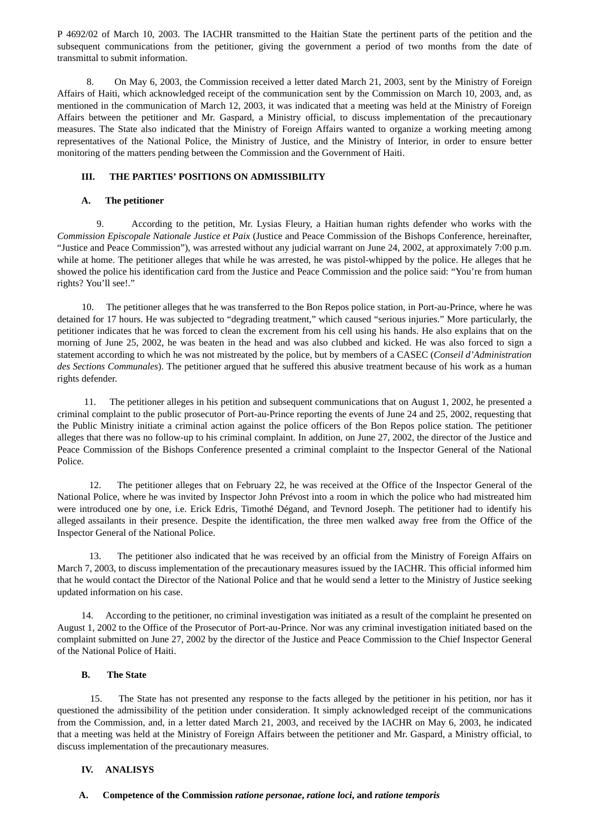P 4692/02 of March 10, 2003. The IACHR transmitted to the Haitian State the pertinent parts of the petition and the subsequent communications from the petitioner, giving the government a period of two months from the date of transmittal to submit information.

8. On May 6, 2003, the Commission received a letter dated March 21, 2003, sent by the Ministry of Foreign Affairs of Haiti, which acknowledged receipt of the communication sent by the Commission on March 10, 2003, and, as mentioned in the communication of March 12, 2003, it was indicated that a meeting was held at the Ministry of Foreign Affairs between the petitioner and Mr. Gaspard, a Ministry official, to discuss implementation of the precautionary measures. The State also indicated that the Ministry of Foreign Affairs wanted to organize a working meeting among representatives of the National Police, the Ministry of Justice, and the Ministry of Interior, in order to ensure better monitoring of the matters pending between the Commission and the Government of Haiti.

## **III. THE PARTIES' POSITIONS ON ADMISSIBILITY**

## **A. The petitioner**

9. According to the petition, Mr. Lysias Fleury, a Haitian human rights defender who works with the *Commission Episcopale Nationale Justice et Paix* (Justice and Peace Commission of the Bishops Conference, hereinafter, "Justice and Peace Commission"), was arrested without any judicial warrant on June 24, 2002, at approximately 7:00 p.m. while at home. The petitioner alleges that while he was arrested, he was pistol-whipped by the police. He alleges that he showed the police his identification card from the Justice and Peace Commission and the police said: "You're from human rights? You'll see!."

10. The petitioner alleges that he was transferred to the Bon Repos police station, in Port-au-Prince, where he was detained for 17 hours. He was subjected to "degrading treatment," which caused "serious injuries." More particularly, the petitioner indicates that he was forced to clean the excrement from his cell using his hands. He also explains that on the morning of June 25, 2002, he was beaten in the head and was also clubbed and kicked. He was also forced to sign a statement according to which he was not mistreated by the police, but by members of a CASEC (*Conseil d'Administration des Sections Communales*). The petitioner argued that he suffered this abusive treatment because of his work as a human rights defender.

11. The petitioner alleges in his petition and subsequent communications that on August 1, 2002, he presented a criminal complaint to the public prosecutor of Port-au-Prince reporting the events of June 24 and 25, 2002, requesting that the Public Ministry initiate a criminal action against the police officers of the Bon Repos police station. The petitioner alleges that there was no follow-up to his criminal complaint. In addition, on June 27, 2002, the director of the Justice and Peace Commission of the Bishops Conference presented a criminal complaint to the Inspector General of the National Police.

12. The petitioner alleges that on February 22, he was received at the Office of the Inspector General of the National Police, where he was invited by Inspector John Prévost into a room in which the police who had mistreated him were introduced one by one, i.e. Erick Edris, Timothé Dégand, and Tevnord Joseph. The petitioner had to identify his alleged assailants in their presence. Despite the identification, the three men walked away free from the Office of the Inspector General of the National Police.

13. The petitioner also indicated that he was received by an official from the Ministry of Foreign Affairs on March 7, 2003, to discuss implementation of the precautionary measures issued by the IACHR. This official informed him that he would contact the Director of the National Police and that he would send a letter to the Ministry of Justice seeking updated information on his case.

 14. According to the petitioner, no criminal investigation was initiated as a result of the complaint he presented on August 1, 2002 to the Office of the Prosecutor of Port-au-Prince. Nor was any criminal investigation initiated based on the complaint submitted on June 27, 2002 by the director of the Justice and Peace Commission to the Chief Inspector General of the National Police of Haiti.

### **B. The State**

15. The State has not presented any response to the facts alleged by the petitioner in his petition, nor has it questioned the admissibility of the petition under consideration. It simply acknowledged receipt of the communications from the Commission, and, in a letter dated March 21, 2003, and received by the IACHR on May 6, 2003, he indicated that a meeting was held at the Ministry of Foreign Affairs between the petitioner and Mr. Gaspard, a Ministry official, to discuss implementation of the precautionary measures.

### **IV. ANALISYS**

### **A. Competence of the Commission** *ratione personae***,** *ratione loci***, and** *ratione temporis*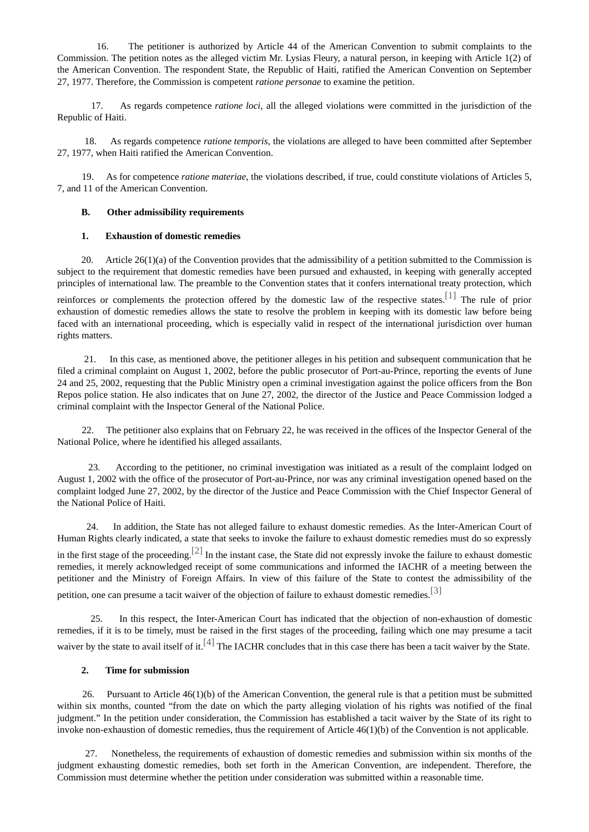16. The petitioner is authorized by Article 44 of the American Convention to submit complaints to the Commission. The petition notes as the alleged victim Mr. Lysias Fleury, a natural person, in keeping with Article 1(2) of the American Convention. The respondent State, the Republic of Haiti, ratified the American Convention on September 27, 1977. Therefore, the Commission is competent *ratione personae* to examine the petition.

17. As regards competence *ratione loci*, all the alleged violations were committed in the jurisdiction of the Republic of Haiti.

18. As regards competence *ratione temporis*, the violations are alleged to have been committed after September 27, 1977, when Haiti ratified the American Convention.

19. As for competence *ratione materiae*, the violations described, if true, could constitute violations of Articles 5, 7, and 11 of the American Convention.

#### **B. Other admissibility requirements**

#### <span id="page-2-0"></span>**1. Exhaustion of domestic remedies**

 20. Article 26(1)(a) of the Convention provides that the admissibility of a petition submitted to the Commission is subject to the requirement that domestic remedies have been pursued and exhausted, in keeping with generally accepted principles of international law. The preamble to the Convention states that it confers international treaty protection, which

reinforces or complements the protection offered by the domestic law of the respective states.<sup>[\[1\]](#page-3-0)</sup> The rule of prior exhaustion of domestic remedies allows the state to resolve the problem in keeping with its domestic law before being faced with an international proceeding, which is especially valid in respect of the international jurisdiction over human rights matters.

21. In this case, as mentioned above, the petitioner alleges in his petition and subsequent communication that he filed a criminal complaint on August 1, 2002, before the public prosecutor of Port-au-Prince, reporting the events of June 24 and 25, 2002, requesting that the Public Ministry open a criminal investigation against the police officers from the Bon Repos police station. He also indicates that on June 27, 2002, the director of the Justice and Peace Commission lodged a criminal complaint with the Inspector General of the National Police.

22. The petitioner also explains that on February 22, he was received in the offices of the Inspector General of the National Police, where he identified his alleged assailants.

23. According to the petitioner, no criminal investigation was initiated as a result of the complaint lodged on August 1, 2002 with the office of the prosecutor of Port-au-Prince, nor was any criminal investigation opened based on the complaint lodged June 27, 2002, by the director of the Justice and Peace Commission with the Chief Inspector General of the National Police of Haiti.

<span id="page-2-1"></span>24. In addition, the State has not alleged failure to exhaust domestic remedies. As the Inter-American Court of Human Rights clearly indicated, a state that seeks to invoke the failure to exhaust domestic remedies must do so expressly in the first stage of the proceeding.<sup>[\[2\]](#page-3-1)</sup> In the instant case, the State did not expressly invoke the failure to exhaust domestic remedies, it merely acknowledged receipt of some communications and informed the IACHR of a meeting between the petitioner and the Ministry of Foreign Affairs. In view of this failure of the State to contest the admissibility of the petition, one can presume a tacit waiver of the objection of failure to exhaust domestic remedies.<sup>[\[3\]](#page-4-0)</sup>

25. In this respect, the Inter-American Court has indicated that the objection of non-exhaustion of domestic remedies, if it is to be timely, must be raised in the first stages of the proceeding, failing which one may presume a tacit waiver by the state to avail itself of it.<sup>[\[4\]](#page-4-1)</sup> The IACHR concludes that in this case there has been a tacit waiver by the State.

#### <span id="page-2-3"></span><span id="page-2-2"></span>**2. Time for submission**

26. Pursuant to Article 46(1)(b) of the American Convention, the general rule is that a petition must be submitted within six months, counted "from the date on which the party alleging violation of his rights was notified of the final judgment." In the petition under consideration, the Commission has established a tacit waiver by the State of its right to invoke non-exhaustion of domestic remedies, thus the requirement of Article 46(1)(b) of the Convention is not applicable.

27. Nonetheless, the requirements of exhaustion of domestic remedies and submission within six months of the judgment exhausting domestic remedies, both set forth in the American Convention, are independent. Therefore, the Commission must determine whether the petition under consideration was submitted within a reasonable time.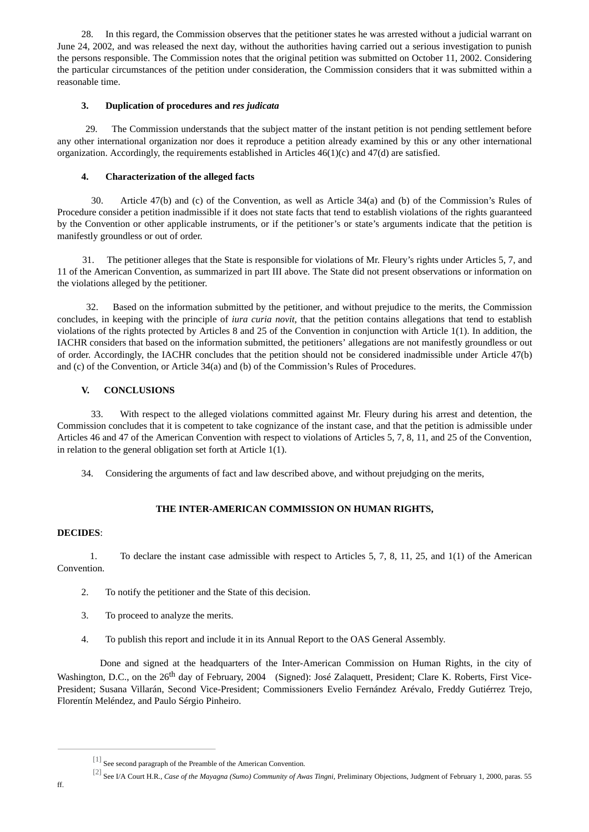28. In this regard, the Commission observes that the petitioner states he was arrested without a judicial warrant on June 24, 2002, and was released the next day, without the authorities having carried out a serious investigation to punish the persons responsible. The Commission notes that the original petition was submitted on October 11, 2002. Considering the particular circumstances of the petition under consideration, the Commission considers that it was submitted within a reasonable time.

## **3. Duplication of procedures and** *res judicata*

29. The Commission understands that the subject matter of the instant petition is not pending settlement before any other international organization nor does it reproduce a petition already examined by this or any other international organization. Accordingly, the requirements established in Articles  $46(1)(c)$  and  $47(d)$  are satisfied.

# **4. Characterization of the alleged facts**

30. Article 47(b) and (c) of the Convention, as well as Article 34(a) and (b) of the Commission's Rules of Procedure consider a petition inadmissible if it does not state facts that tend to establish violations of the rights guaranteed by the Convention or other applicable instruments, or if the petitioner's or state's arguments indicate that the petition is manifestly groundless or out of order.

31. The petitioner alleges that the State is responsible for violations of Mr. Fleury's rights under Articles 5, 7, and 11 of the American Convention, as summarized in part III above. The State did not present observations or information on the violations alleged by the petitioner.

32. Based on the information submitted by the petitioner, and without prejudice to the merits, the Commission concludes, in keeping with the principle of *iura curia novit*, that the petition contains allegations that tend to establish violations of the rights protected by Articles 8 and 25 of the Convention in conjunction with Article 1(1). In addition, the IACHR considers that based on the information submitted, the petitioners' allegations are not manifestly groundless or out of order. Accordingly, the IACHR concludes that the petition should not be considered inadmissible under Article 47(b) and (c) of the Convention, or Article 34(a) and (b) of the Commission's Rules of Procedures.

## **V. CONCLUSIONS**

33. With respect to the alleged violations committed against Mr. Fleury during his arrest and detention, the Commission concludes that it is competent to take cognizance of the instant case, and that the petition is admissible under Articles 46 and 47 of the American Convention with respect to violations of Articles 5, 7, 8, 11, and 25 of the Convention, in relation to the general obligation set forth at Article 1(1).

34. Considering the arguments of fact and law described above, and without prejudging on the merits,

# **THE INTER-AMERICAN COMMISSION ON HUMAN RIGHTS,**

# **DECIDES**:

1. To declare the instant case admissible with respect to Articles 5, 7, 8, 11, 25, and 1(1) of the American Convention.

- 2. To notify the petitioner and the State of this decision.
- 3. To proceed to analyze the merits.
- 4. To publish this report and include it in its Annual Report to the OAS General Assembly.

Done and signed at the headquarters of the Inter-American Commission on Human Rights, in the city of Washington, D.C., on the 26<sup>th</sup> day of February, 2004 (Signed): José Zalaquett, President; Clare K. Roberts, First Vice-President; Susana Villarán, Second Vice-President; Commissioners Evelio Fernández Arévalo, Freddy Gutiérrez Trejo, Florentín Meléndez, and Paulo Sérgio Pinheiro.

<span id="page-3-0"></span> $\left[^{11}\right]$  See second paragraph of the Preamble of the American Convention.

<span id="page-3-1"></span>[<sup>\[2\]</sup>](#page-2-1) See I/A Court H.R., *Case of the Mayagna (Sumo) Community of Awas Tingni*, Preliminary Objections, Judgment of February 1, 2000, paras. 55